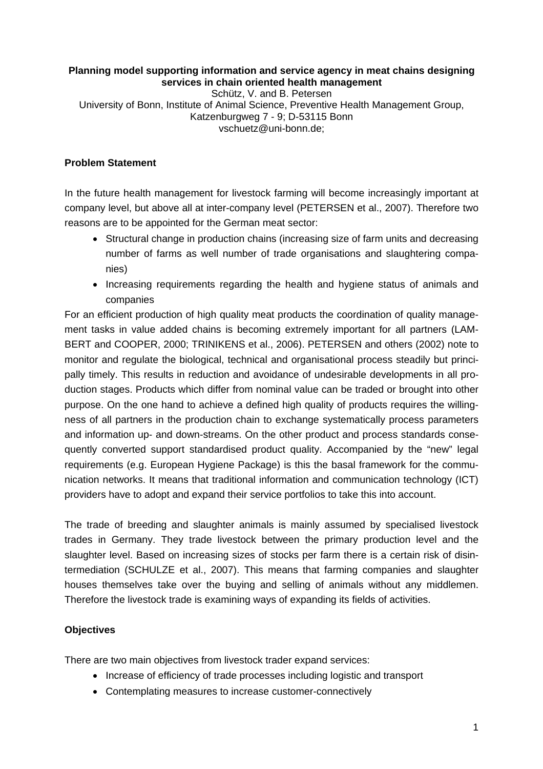# **Planning model supporting information and service agency in meat chains designing services in chain oriented health management**

Schütz, V. and B. Petersen University of Bonn, Institute of Animal Science, Preventive Health Management Group, Katzenburgweg 7 - 9; D-53115 Bonn vschuetz@uni-bonn.de;

# **Problem Statement**

In the future health management for livestock farming will become increasingly important at company level, but above all at inter-company level (PETERSEN et al., 2007). Therefore two reasons are to be appointed for the German meat sector:

- Structural change in production chains (increasing size of farm units and decreasing number of farms as well number of trade organisations and slaughtering companies)
- Increasing requirements regarding the health and hygiene status of animals and companies

For an efficient production of high quality meat products the coordination of quality management tasks in value added chains is becoming extremely important for all partners (LAM-BERT and COOPER, 2000; TRINIKENS et al., 2006). PETERSEN and others (2002) note to monitor and regulate the biological, technical and organisational process steadily but principally timely. This results in reduction and avoidance of undesirable developments in all production stages. Products which differ from nominal value can be traded or brought into other purpose. On the one hand to achieve a defined high quality of products requires the willingness of all partners in the production chain to exchange systematically process parameters and information up- and down-streams. On the other product and process standards consequently converted support standardised product quality. Accompanied by the "new" legal requirements (e.g. European Hygiene Package) is this the basal framework for the communication networks. It means that traditional information and communication technology (ICT) providers have to adopt and expand their service portfolios to take this into account.

The trade of breeding and slaughter animals is mainly assumed by specialised livestock trades in Germany. They trade livestock between the primary production level and the slaughter level. Based on increasing sizes of stocks per farm there is a certain risk of disintermediation (SCHULZE et al., 2007). This means that farming companies and slaughter houses themselves take over the buying and selling of animals without any middlemen. Therefore the livestock trade is examining ways of expanding its fields of activities.

# **Objectives**

There are two main objectives from livestock trader expand services:

- Increase of efficiency of trade processes including logistic and transport
- Contemplating measures to increase customer-connectively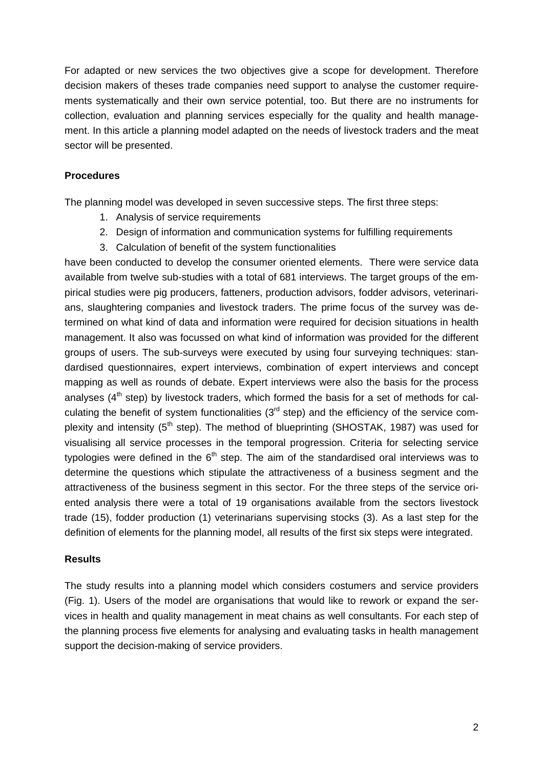For adapted or new services the two objectives give a scope for development. Therefore decision makers of theses trade companies need support to analyse the customer requirements systematically and their own service potential, too. But there are no instruments for collection, evaluation and planning services especially for the quality and health management. In this article a planning model adapted on the needs of livestock traders and the meat sector will be presented.

## **Procedures**

The planning model was developed in seven successive steps. The first three steps:

- 1. Analysis of service requirements
- 2. Design of information and communication systems for fulfilling requirements
- 3. Calculation of benefit of the system functionalities

have been conducted to develop the consumer oriented elements. There were service data available from twelve sub-studies with a total of 681 interviews. The target groups of the empirical studies were pig producers, fatteners, production advisors, fodder advisors, veterinarians, slaughtering companies and livestock traders. The prime focus of the survey was determined on what kind of data and information were required for decision situations in health management. It also was focussed on what kind of information was provided for the different groups of users. The sub-surveys were executed by using four surveying techniques: standardised questionnaires, expert interviews, combination of expert interviews and concept mapping as well as rounds of debate. Expert interviews were also the basis for the process analyses  $(4<sup>th</sup>$  step) by livestock traders, which formed the basis for a set of methods for calculating the benefit of system functionalities  $(3<sup>rd</sup> step)$  and the efficiency of the service complexity and intensity (5<sup>th</sup> step). The method of blueprinting (SHOSTAK, 1987) was used for visualising all service processes in the temporal progression. Criteria for selecting service typologies were defined in the  $6<sup>th</sup>$  step. The aim of the standardised oral interviews was to determine the questions which stipulate the attractiveness of a business segment and the attractiveness of the business segment in this sector. For the three steps of the service oriented analysis there were a total of 19 organisations available from the sectors livestock trade (15), fodder production (1) veterinarians supervising stocks (3). As a last step for the definition of elements for the planning model, all results of the first six steps were integrated.

### **Results**

The study results into a planning model which considers costumers and service providers (Fig. 1). Users of the model are organisations that would like to rework or expand the services in health and quality management in meat chains as well consultants. For each step of the planning process five elements for analysing and evaluating tasks in health management support the decision-making of service providers.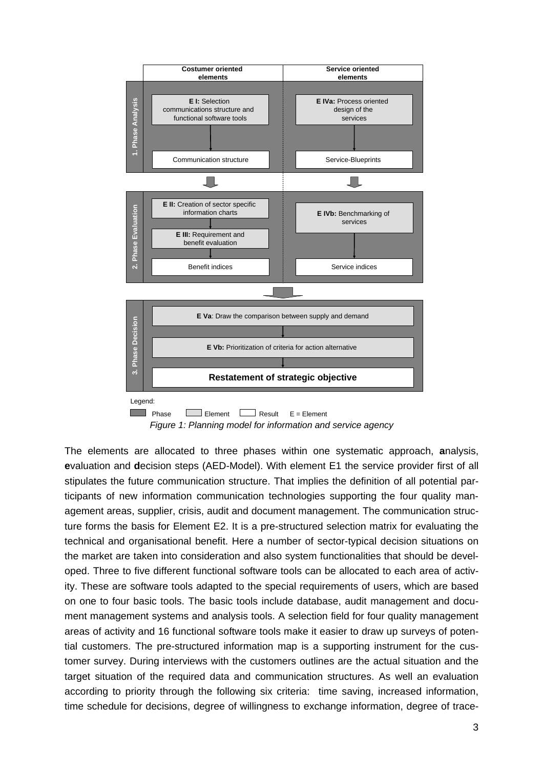

*Figure 1: Planning model for information and service agency* 

The elements are allocated to three phases within one systematic approach, **a**nalysis, **e**valuation and **d**ecision steps (AED-Model). With element E1 the service provider first of all stipulates the future communication structure. That implies the definition of all potential participants of new information communication technologies supporting the four quality management areas, supplier, crisis, audit and document management. The communication structure forms the basis for Element E2. It is a pre-structured selection matrix for evaluating the technical and organisational benefit. Here a number of sector-typical decision situations on the market are taken into consideration and also system functionalities that should be developed. Three to five different functional software tools can be allocated to each area of activity. These are software tools adapted to the special requirements of users, which are based on one to four basic tools. The basic tools include database, audit management and document management systems and analysis tools. A selection field for four quality management areas of activity and 16 functional software tools make it easier to draw up surveys of potential customers. The pre-structured information map is a supporting instrument for the customer survey. During interviews with the customers outlines are the actual situation and the target situation of the required data and communication structures. As well an evaluation according to priority through the following six criteria: time saving, increased information, time schedule for decisions, degree of willingness to exchange information, degree of trace-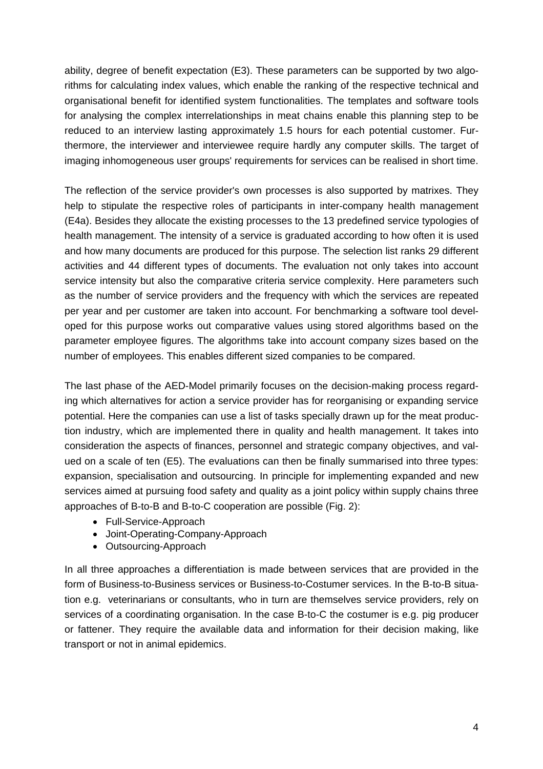ability, degree of benefit expectation (E3). These parameters can be supported by two algorithms for calculating index values, which enable the ranking of the respective technical and organisational benefit for identified system functionalities. The templates and software tools for analysing the complex interrelationships in meat chains enable this planning step to be reduced to an interview lasting approximately 1.5 hours for each potential customer. Furthermore, the interviewer and interviewee require hardly any computer skills. The target of imaging inhomogeneous user groups' requirements for services can be realised in short time.

The reflection of the service provider's own processes is also supported by matrixes. They help to stipulate the respective roles of participants in inter-company health management (E4a). Besides they allocate the existing processes to the 13 predefined service typologies of health management. The intensity of a service is graduated according to how often it is used and how many documents are produced for this purpose. The selection list ranks 29 different activities and 44 different types of documents. The evaluation not only takes into account service intensity but also the comparative criteria service complexity. Here parameters such as the number of service providers and the frequency with which the services are repeated per year and per customer are taken into account. For benchmarking a software tool developed for this purpose works out comparative values using stored algorithms based on the parameter employee figures. The algorithms take into account company sizes based on the number of employees. This enables different sized companies to be compared.

The last phase of the AED-Model primarily focuses on the decision-making process regarding which alternatives for action a service provider has for reorganising or expanding service potential. Here the companies can use a list of tasks specially drawn up for the meat production industry, which are implemented there in quality and health management. It takes into consideration the aspects of finances, personnel and strategic company objectives, and valued on a scale of ten (E5). The evaluations can then be finally summarised into three types: expansion, specialisation and outsourcing. In principle for implementing expanded and new services aimed at pursuing food safety and quality as a joint policy within supply chains three approaches of B-to-B and B-to-C cooperation are possible (Fig. 2):

- Full-Service-Approach
- Joint-Operating-Company-Approach
- Outsourcing-Approach

In all three approaches a differentiation is made between services that are provided in the form of Business-to-Business services or Business-to-Costumer services. In the B-to-B situation e.g. veterinarians or consultants, who in turn are themselves service providers, rely on services of a coordinating organisation. In the case B-to-C the costumer is e.g. pig producer or fattener. They require the available data and information for their decision making, like transport or not in animal epidemics.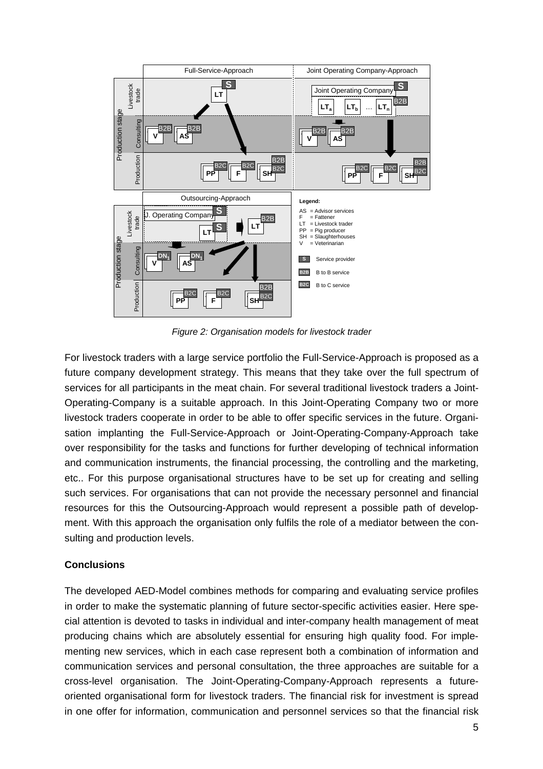

*Figure 2: Organisation models for livestock trader* 

For livestock traders with a large service portfolio the Full-Service-Approach is proposed as a future company development strategy. This means that they take over the full spectrum of services for all participants in the meat chain. For several traditional livestock traders a Joint-Operating-Company is a suitable approach. In this Joint-Operating Company two or more livestock traders cooperate in order to be able to offer specific services in the future. Organisation implanting the Full-Service-Approach or Joint-Operating-Company-Approach take over responsibility for the tasks and functions for further developing of technical information and communication instruments, the financial processing, the controlling and the marketing, etc.. For this purpose organisational structures have to be set up for creating and selling such services. For organisations that can not provide the necessary personnel and financial resources for this the Outsourcing-Approach would represent a possible path of development. With this approach the organisation only fulfils the role of a mediator between the consulting and production levels.

### **Conclusions**

The developed AED-Model combines methods for comparing and evaluating service profiles in order to make the systematic planning of future sector-specific activities easier. Here special attention is devoted to tasks in individual and inter-company health management of meat producing chains which are absolutely essential for ensuring high quality food. For implementing new services, which in each case represent both a combination of information and communication services and personal consultation, the three approaches are suitable for a cross-level organisation. The Joint-Operating-Company-Approach represents a futureoriented organisational form for livestock traders. The financial risk for investment is spread in one offer for information, communication and personnel services so that the financial risk